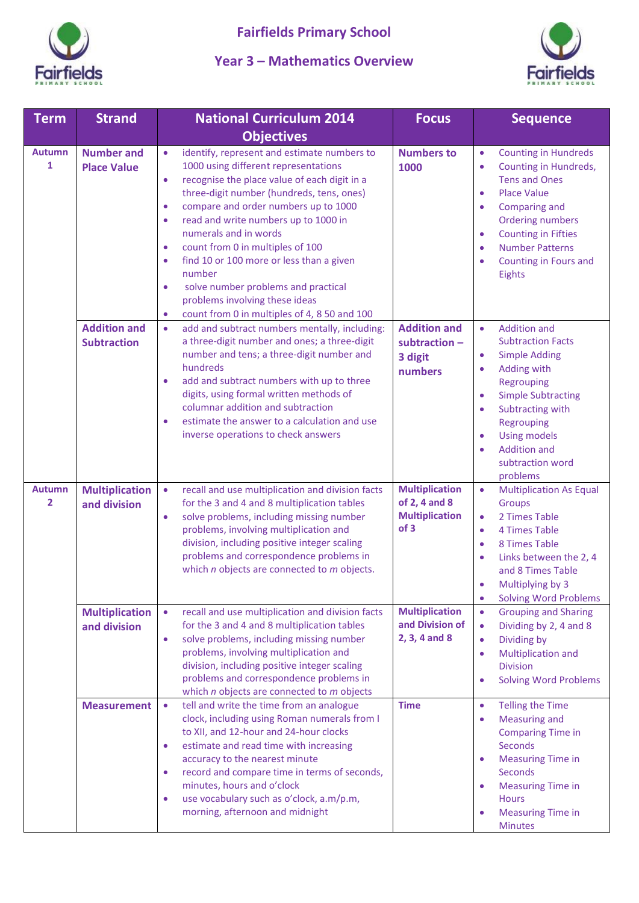

## **Year 3 – Mathematics Overview**



| <b>Term</b>                   | <b>Strand</b>                             | <b>National Curriculum 2014</b>                                                                                                                                                                                                                                                                                                                                                                                                                                                                                                                                                                                      | <b>Focus</b>                                                            | <b>Sequence</b>                                                                                                                                                                                                                                                                                                                              |
|-------------------------------|-------------------------------------------|----------------------------------------------------------------------------------------------------------------------------------------------------------------------------------------------------------------------------------------------------------------------------------------------------------------------------------------------------------------------------------------------------------------------------------------------------------------------------------------------------------------------------------------------------------------------------------------------------------------------|-------------------------------------------------------------------------|----------------------------------------------------------------------------------------------------------------------------------------------------------------------------------------------------------------------------------------------------------------------------------------------------------------------------------------------|
|                               |                                           | <b>Objectives</b>                                                                                                                                                                                                                                                                                                                                                                                                                                                                                                                                                                                                    |                                                                         |                                                                                                                                                                                                                                                                                                                                              |
| <b>Autumn</b><br>$\mathbf{1}$ | <b>Number and</b><br><b>Place Value</b>   | identify, represent and estimate numbers to<br>$\bullet$<br>1000 using different representations<br>recognise the place value of each digit in a<br>$\bullet$<br>three-digit number (hundreds, tens, ones)<br>compare and order numbers up to 1000<br>$\bullet$<br>read and write numbers up to 1000 in<br>$\bullet$<br>numerals and in words<br>count from 0 in multiples of 100<br>$\bullet$<br>find 10 or 100 more or less than a given<br>$\bullet$<br>number<br>solve number problems and practical<br>$\bullet$<br>problems involving these ideas<br>count from 0 in multiples of 4, 8 50 and 100<br>$\bullet$ | <b>Numbers to</b><br>1000                                               | <b>Counting in Hundreds</b><br>$\bullet$<br>Counting in Hundreds,<br>$\bullet$<br><b>Tens and Ones</b><br><b>Place Value</b><br>$\bullet$<br>Comparing and<br>$\bullet$<br><b>Ordering numbers</b><br><b>Counting in Fifties</b><br>$\bullet$<br><b>Number Patterns</b><br>$\bullet$<br>Counting in Fours and<br>$\bullet$<br>Eights         |
|                               | <b>Addition and</b><br><b>Subtraction</b> | add and subtract numbers mentally, including:<br>$\bullet$<br>a three-digit number and ones; a three-digit<br>number and tens; a three-digit number and<br>hundreds<br>add and subtract numbers with up to three<br>$\bullet$<br>digits, using formal written methods of<br>columnar addition and subtraction<br>estimate the answer to a calculation and use<br>$\bullet$<br>inverse operations to check answers                                                                                                                                                                                                    | <b>Addition and</b><br>subtraction -<br>3 digit<br>numbers              | <b>Addition and</b><br>$\bullet$<br><b>Subtraction Facts</b><br><b>Simple Adding</b><br>$\bullet$<br>Adding with<br>$\bullet$<br>Regrouping<br><b>Simple Subtracting</b><br>$\bullet$<br>Subtracting with<br>$\bullet$<br>Regrouping<br><b>Using models</b><br>$\bullet$<br><b>Addition and</b><br>$\bullet$<br>subtraction word<br>problems |
| <b>Autumn</b><br>2            | <b>Multiplication</b><br>and division     | recall and use multiplication and division facts<br>$\bullet$<br>for the 3 and 4 and 8 multiplication tables<br>solve problems, including missing number<br>$\bullet$<br>problems, involving multiplication and<br>division, including positive integer scaling<br>problems and correspondence problems in<br>which $n$ objects are connected to $m$ objects.                                                                                                                                                                                                                                                        | <b>Multiplication</b><br>of 2, 4 and 8<br><b>Multiplication</b><br>of 3 | <b>Multiplication As Equal</b><br>$\bullet$<br>Groups<br>2 Times Table<br>$\bullet$<br>4 Times Table<br>$\bullet$<br>8 Times Table<br>$\bullet$<br>Links between the 2, 4<br>$\bullet$<br>and 8 Times Table<br>Multiplying by 3<br>$\bullet$<br><b>Solving Word Problems</b><br>$\bullet$                                                    |
|                               | <b>Multiplication</b><br>and division     | recall and use multiplication and division facts<br>$\bullet$<br>for the 3 and 4 and 8 multiplication tables<br>solve problems, including missing number<br>$\bullet$<br>problems, involving multiplication and<br>division, including positive integer scaling<br>problems and correspondence problems in<br>which $n$ objects are connected to $m$ objects                                                                                                                                                                                                                                                         | <b>Multiplication</b><br>and Division of<br>2, 3, 4 and 8               | <b>Grouping and Sharing</b><br>$\bullet$<br>Dividing by 2, 4 and 8<br>$\bullet$<br>Dividing by<br>$\bullet$<br>Multiplication and<br>$\bullet$<br><b>Division</b><br><b>Solving Word Problems</b><br>$\bullet$                                                                                                                               |
|                               | <b>Measurement</b>                        | tell and write the time from an analogue<br>$\bullet$<br>clock, including using Roman numerals from I<br>to XII, and 12-hour and 24-hour clocks<br>estimate and read time with increasing<br>$\bullet$<br>accuracy to the nearest minute<br>record and compare time in terms of seconds,<br>$\bullet$<br>minutes, hours and o'clock<br>use vocabulary such as o'clock, a.m/p.m,<br>$\bullet$<br>morning, afternoon and midnight                                                                                                                                                                                      | <b>Time</b>                                                             | <b>Telling the Time</b><br>$\bullet$<br>Measuring and<br>$\bullet$<br><b>Comparing Time in</b><br>Seconds<br><b>Measuring Time in</b><br>$\bullet$<br>Seconds<br><b>Measuring Time in</b><br>$\bullet$<br><b>Hours</b><br><b>Measuring Time in</b><br>$\bullet$<br><b>Minutes</b>                                                            |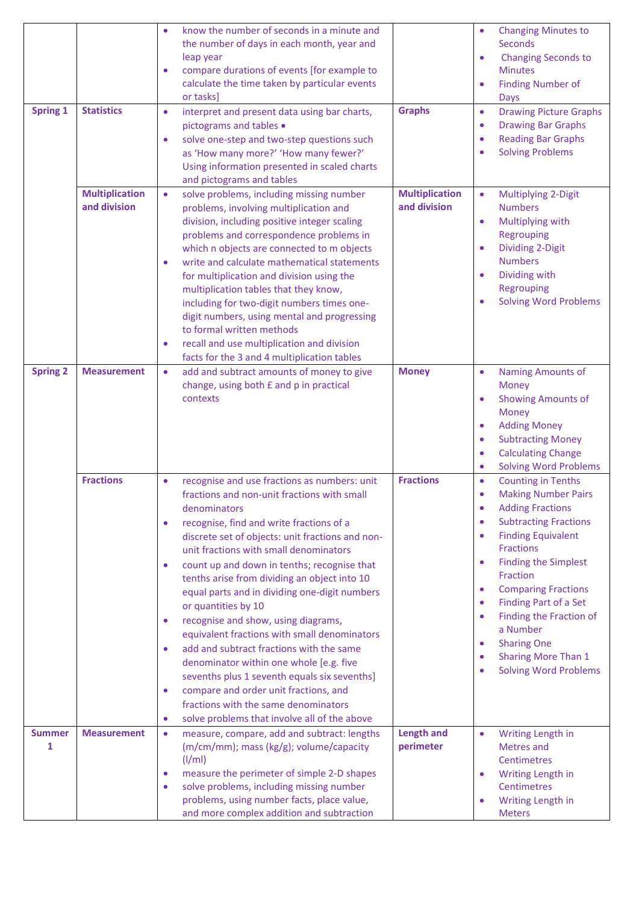| <b>Spring 1</b>    | <b>Statistics</b>                     | know the number of seconds in a minute and<br>$\bullet$<br>the number of days in each month, year and<br>leap year<br>compare durations of events [for example to<br>$\bullet$<br>calculate the time taken by particular events<br>or tasks]<br>interpret and present data using bar charts,<br>$\bullet$<br>pictograms and tables .<br>solve one-step and two-step questions such<br>$\bullet$<br>as 'How many more?' 'How many fewer?'<br>Using information presented in scaled charts<br>and pictograms and tables                                                                                                                                                                                                                                                                                                                                                                  | <b>Graphs</b>                         | <b>Changing Minutes to</b><br>$\bullet$<br><b>Seconds</b><br><b>Changing Seconds to</b><br>$\bullet$<br><b>Minutes</b><br><b>Finding Number of</b><br>$\bullet$<br><b>Days</b><br><b>Drawing Picture Graphs</b><br>$\bullet$<br><b>Drawing Bar Graphs</b><br>$\bullet$<br><b>Reading Bar Graphs</b><br>$\bullet$<br><b>Solving Problems</b><br>$\bullet$                                                                                                                                                                                                     |
|--------------------|---------------------------------------|----------------------------------------------------------------------------------------------------------------------------------------------------------------------------------------------------------------------------------------------------------------------------------------------------------------------------------------------------------------------------------------------------------------------------------------------------------------------------------------------------------------------------------------------------------------------------------------------------------------------------------------------------------------------------------------------------------------------------------------------------------------------------------------------------------------------------------------------------------------------------------------|---------------------------------------|--------------------------------------------------------------------------------------------------------------------------------------------------------------------------------------------------------------------------------------------------------------------------------------------------------------------------------------------------------------------------------------------------------------------------------------------------------------------------------------------------------------------------------------------------------------|
|                    | <b>Multiplication</b><br>and division | solve problems, including missing number<br>$\bullet$<br>problems, involving multiplication and<br>division, including positive integer scaling<br>problems and correspondence problems in<br>which n objects are connected to m objects<br>write and calculate mathematical statements<br>$\bullet$<br>for multiplication and division using the<br>multiplication tables that they know,<br>including for two-digit numbers times one-<br>digit numbers, using mental and progressing<br>to formal written methods<br>recall and use multiplication and division<br>$\bullet$<br>facts for the 3 and 4 multiplication tables                                                                                                                                                                                                                                                         | <b>Multiplication</b><br>and division | Multiplying 2-Digit<br>$\bullet$<br><b>Numbers</b><br>Multiplying with<br>$\bullet$<br>Regrouping<br><b>Dividing 2-Digit</b><br>$\bullet$<br><b>Numbers</b><br>Dividing with<br>$\bullet$<br>Regrouping<br><b>Solving Word Problems</b><br>$\bullet$                                                                                                                                                                                                                                                                                                         |
| <b>Spring 2</b>    | <b>Measurement</b>                    | add and subtract amounts of money to give<br>$\bullet$<br>change, using both £ and p in practical<br>contexts                                                                                                                                                                                                                                                                                                                                                                                                                                                                                                                                                                                                                                                                                                                                                                          | <b>Money</b>                          | <b>Naming Amounts of</b><br>$\bullet$<br>Money<br><b>Showing Amounts of</b><br>$\bullet$<br><b>Money</b><br><b>Adding Money</b><br>$\bullet$<br><b>Subtracting Money</b><br>$\bullet$<br><b>Calculating Change</b><br>$\bullet$<br><b>Solving Word Problems</b><br>$\bullet$                                                                                                                                                                                                                                                                                 |
|                    | <b>Fractions</b>                      | recognise and use fractions as numbers: unit<br>$\bullet$<br>fractions and non-unit fractions with small<br>denominators<br>recognise, find and write fractions of a<br>$\bullet$<br>discrete set of objects: unit fractions and non-<br>unit fractions with small denominators<br>count up and down in tenths; recognise that<br>$\bullet$<br>tenths arise from dividing an object into 10<br>equal parts and in dividing one-digit numbers<br>or quantities by 10<br>recognise and show, using diagrams,<br>$\bullet$<br>equivalent fractions with small denominators<br>add and subtract fractions with the same<br>$\bullet$<br>denominator within one whole [e.g. five<br>sevenths plus 1 seventh equals six sevenths]<br>compare and order unit fractions, and<br>$\bullet$<br>fractions with the same denominators<br>solve problems that involve all of the above<br>$\bullet$ | <b>Fractions</b>                      | <b>Counting in Tenths</b><br>$\bullet$<br><b>Making Number Pairs</b><br>$\bullet$<br><b>Adding Fractions</b><br>$\bullet$<br><b>Subtracting Fractions</b><br>$\bullet$<br><b>Finding Equivalent</b><br>$\bullet$<br><b>Fractions</b><br><b>Finding the Simplest</b><br>$\bullet$<br>Fraction<br><b>Comparing Fractions</b><br>$\bullet$<br>Finding Part of a Set<br>$\bullet$<br>Finding the Fraction of<br>$\bullet$<br>a Number<br><b>Sharing One</b><br>$\bullet$<br><b>Sharing More Than 1</b><br>$\bullet$<br><b>Solving Word Problems</b><br>$\bullet$ |
| <b>Summer</b><br>1 | <b>Measurement</b>                    | measure, compare, add and subtract: lengths<br>$\bullet$<br>(m/cm/mm); mass (kg/g); volume/capacity<br>$\frac{1}{m}$<br>measure the perimeter of simple 2-D shapes<br>$\bullet$<br>solve problems, including missing number<br>$\bullet$<br>problems, using number facts, place value,<br>and more complex addition and subtraction                                                                                                                                                                                                                                                                                                                                                                                                                                                                                                                                                    | <b>Length and</b><br>perimeter        | $\bullet$<br>Writing Length in<br><b>Metres</b> and<br><b>Centimetres</b><br>Writing Length in<br>$\bullet$<br><b>Centimetres</b><br>Writing Length in<br>$\bullet$<br><b>Meters</b>                                                                                                                                                                                                                                                                                                                                                                         |